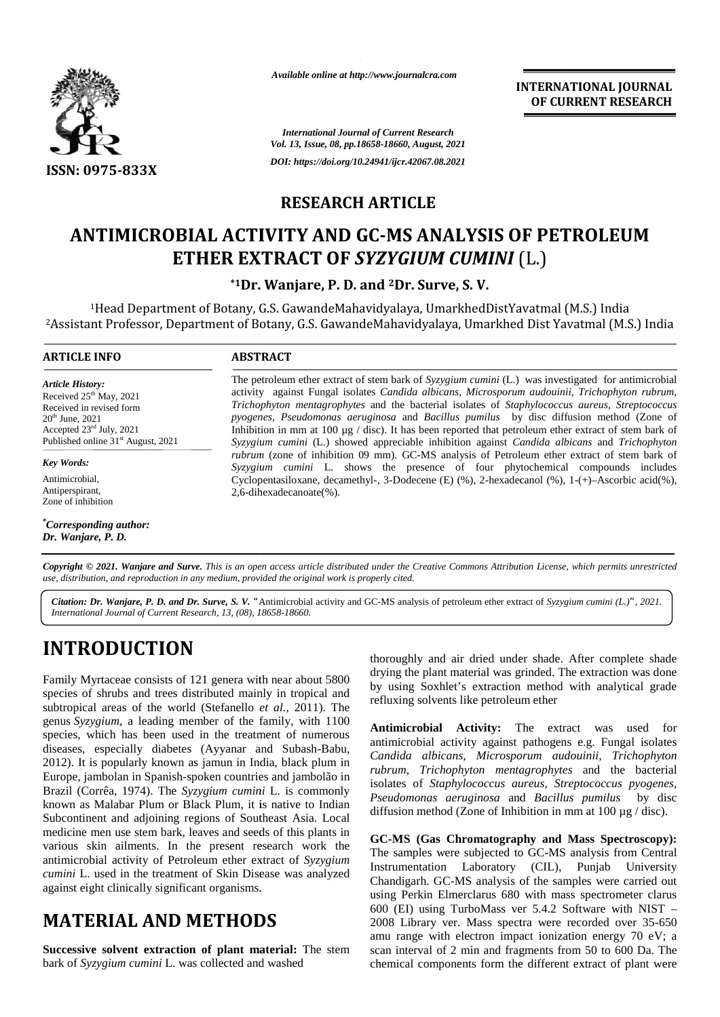

*Available online at http://www.journalcra.com*

**INTERNATIONAL JOURNAL OF CURRENT RESEARCH**

*International Journal of Current Research Vol. 13, Issue, 08, pp.18658-18660, August, 2021 DOI: https://doi.org/10.24941/ijcr.42067.08.2021*

### **RESEARCH ARTICLE**

# **ANTIMICROBIAL ACTIVITY AND GC-MS ANALYSIS OF PETROLEUM ETHER EXTRACT OF** *SYZYGIUM CUMINI* (L.) **ETHER** *SYZYGIUM*(L.)

**\*1Dr. Wanjare, P. D. and <sup>2</sup>Dr. Surve, S. V. Dr. Wanjare,** 

<sup>1</sup>Head Department of Botany, G.S. GawandeMahavidyalaya, UmarkhedDistYavatmal (M.S.) India Department of GawandeMahavidyalaya,<sup>2</sup>Assistant Professor, Department of Botany, G.S. GawandeMahavidyalaya, Umarkhed Dist Yavatmal (M.S.) India

#### **ARTICLE INFO ABSTRACT ARTICLE ABSTRACT**

*Article History: Article History: ArticleHistory:*

*\*Corresponding author: Dr. Wanjare, P. D.*

Formace 25 many, 2021<br>Received in revised form<br> $20^{\text{th}}$  June, 2021<br>Accepted  $23^{\text{rd}}$  July, 2021<br>Published online 31<sup>st</sup> Aug<br>**Key Words:**<br>Antimicrobial,<br>Antiperspirant,<br>Zone of inhibition

*Key Words:* Antimicrobial, Antiperspirant, Zone of inhibition

Received 25<sup>--</sup> May, 2021<br>Received in revised form<br>20<sup>th</sup> June, 2021

The petroleum ether extract of stem bark of *Syzygium cumini* (L.) was investigated for antimicrobial activity against Fungal isolates *Candida albicans, Microsporum audouinii, Trichophyton rubrum, Trichophyton mentagrophytes* and the bacterial isolates of *Staphylococcus aureus, Streptococcus pyogenes, Pseudomonas aeruginosa* and *Bacillus pumilus* by disc diffusion method (Zone of Inhibition in mm at 100 µg / disc). It has been reported that petroleum ether extract of stem bark of *Syzygium cumini* (L.) showed appreciable inhibition against *Candida albicans* and *Trichophyton Syzygium rubrum* (zone of inhibition 09 mm). GC-MS analysis of Petroleum ether extract of stem bark of *Syzygium cumini* L. shows the presence of four phytochemical compounds includes Cyclopentasiloxane, decamethyl-, 3-Dodecene (E) (%), 2-hexadecanol (%), 1-(+)-Ascorbic acid(%), 2,6-dihexadecanoate(%). 2,6-dihexadecanoate(%). Received  $25<sup>th</sup>$  May,  $2021$  $20^{\text{th}}$  June,  $2021$ Accepted  $23^{\text{rd}}$  July,  $2021$  In Published online  $31<sup>st</sup>$  August, 2021 activity against Fungal isolates *Candida albicans, Microsporum audouinii, Trichophyton rubrum,*<br>*Trichophyton mentagrophytes* and the bacterial isolates of *Staphylococcus aureus, Streptococcus*<br>*pyogenes, Pseudomonas aer* THE SECTION CONTINUES TO THE CENTRAL TRIVIAL ARTIFICATION COMPANY (L.)<br>
ICROBIAL ACTIVITY AND GC-MS ANALYSIS OF PETROLEUM<br>
ETHER EXTRACT OF SYZYGIUM CUMINI (L.)<br>
Department of Bauru, G.S. Geometric Methodologings (from Ge ay, 2021<br>
activity against Fungal isolates *Candida albicans, Microsporum audouinii, Trichophyton rubr*<br>
sed form<br> *Trichophyton mentagrophytes* and the bacterial isolates of *Staphylococcus aures, Sreptococy*<br> *Why, 2021* 

Copyright © 2021. Wanjare and Surve. This is an open access article distributed under the Creative Commons Attribution License, which permits unrestricted use, distribution, and reproduction in any medium, provided the original work is properly cited.

*Citation: Dr. Wanjare, P. D. and Dr. Surve, S. V. "*Antimicrobial activity and GC-MS analysis of petroleum ether extract of *Syzygium cumini (L.)", 2021. International Journal of Current Research, 13, (08), 18658-18660.*

# **INTRODUCTION INTRODUCTION**

Family Myrtaceae consists of 121 genera with near about 5800 species of shrubs and trees distributed mainly in tropical and subtropical areas of the world (Stefanello *et al.,* 2011). The genus *Syzygium*, a leading member of the family, with 1100 species, which has been used in the treatment of numerous diseases, especially diabetes (Ayyanar and Subash-Babu, 2012). It is popularly known as jamun in India, black plum in Europe, jambolan in Spanish-spoken countries and jambolão in Brazil (Corrêa, 1974). The *Syzygium cumini* L. is commonly known as Malabar Plum or Black Plum, it is native to Indian Subcontinent and adjoining regions of Southeast Asia. Local medicine men use stem bark, leaves and seeds of this plants in various skin ailments. In the present research work the antimicrobial activity of Petroleum ether extract of *Syzygium cumini* L. used in the treatment of Skin Disease was analyzed Char against eight clinically significant organisms. against eight clinically significant organisms. Family Myrtaceae consists of 121 genera with near about 580<br>species of shrubs and trees distributed mainly in tropical an<br>subtropical areas of the world (Stefanello *et al.*, 2011). Ti<br>genus *Syzygium*, a leading member of *D. and Dr. Surve, S. V.* "Antimicrobial activity and GC-MS analysis of purent Research, 13, (08), 18658-18660.<br>
<br> **COM**<br>
<br> **COM**<br>
<br> **COM**<br>
<br> **COM**<br>
<br> **COM**<br>
<br> **COM**<br>
<br> **COM**<br>
<br> **COM**<br>
<br> **COM**<br>
<br> **COM**<br>
<br> **COM**<br>
<br> **COM**<br>
<br>

## **MATERIAL AND METHODS MATERIAL**

**Successive solvent extraction of plant material:** The stem scan inter bark of *Syzygium cumini* L. was collected and washed bark *Syzygium* 

thoroughly and air dried under shade. After complete shade drying the plant material was grinded. The extraction was done by using Soxhlet's extraction method with analytical grade refluxing solvents like petroleum ether

Antimicrobial Activity: The extract was used for antimicrobial activity against pathogens e.g. Fungal isolates *Candida albicans, Microsporum audouinii, Trichophyton rubrum, Trichophyton mentagrophytes* and the bacterial rubrum, *Trichophyton mentagrophytes* and the bacterial isolates of *Staphylococcus aureus*, *Streptococcus pyogenes*, *Pseudomonas aeruginosa* and *Bacillus pumilus* by disc diffusion method (Zone of Inhibition in mm at  $100 \mu g /$  disc).

**GC-MS (Gas Chromatography and Mass Spectroscopy): and Mass** The samples were subjected to GC-MS analysis from Central Instrumentation Laboratory (CIL), Punjab University Chandigarh. GC-MS analysis of the samples were carried out using Perkin Elmerclarus 680 with mass spectrometer clarus 600 (EI) using TurboMass ver 5.4.2 Software with NIST – 2008 Library ver. Mass spectra were recorded over 35-650 amu range with electron impact ionization energy 70 eV; a scan interval of 2 min and fragments from 50 to 600 Da. The chemical components form the different extract of plant were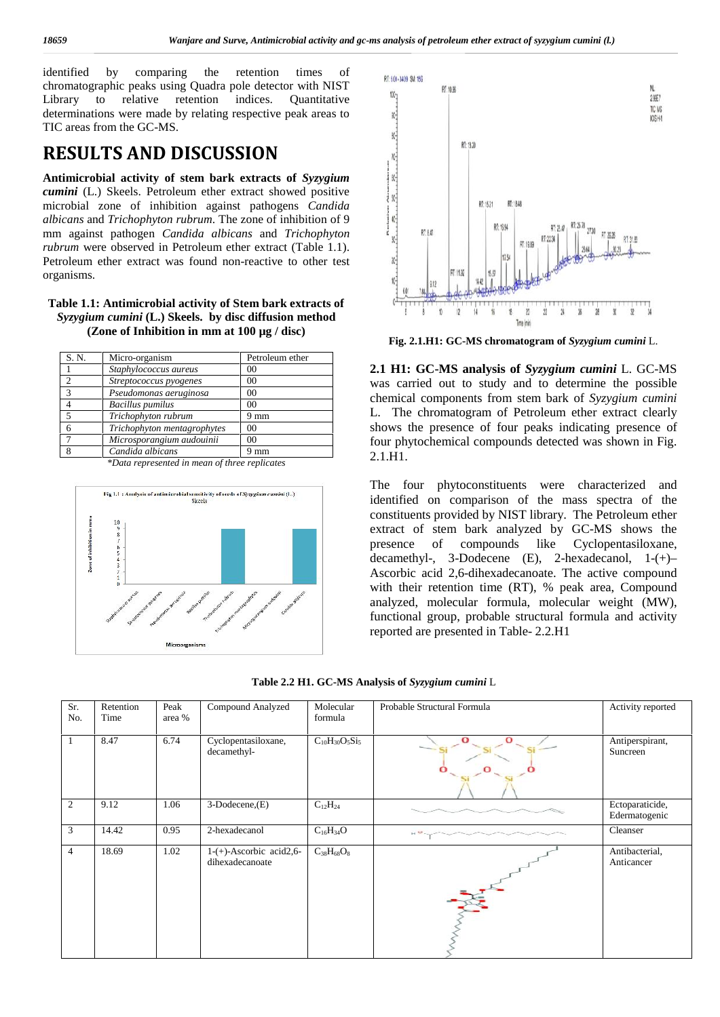identified by comparing the retention times of chromatographic peaks using Quadra pole detector with NIST Library to relative retention indices. Quantitative determinations were made by relating respective peak areas to TIC areas from the GC-MS.

## **RESULTS AND DISCUSSION**

**Antimicrobial activity of stem bark extracts of** *Syzygium cumini* (L.) Skeels. Petroleum ether extract showed positive microbial zone of inhibition against pathogens *Candida albicans* and *Trichophyton rubrum*. The zone of inhibition of 9 mm against pathogen *Candida albicans* and *Trichophyton rubrum* were observed in Petroleum ether extract (Table 1.1). Petroleum ether extract was found non-reactive to other test organisms.

### **Table 1.1: Antimicrobial activity of Stem bark extracts of** *Syzygium cumini* **(L.) Skeels. by disc diffusion method (Zone of Inhibition in mm at 100 µg / disc)**

|                             | Petroleum ether                                                 |
|-----------------------------|-----------------------------------------------------------------|
| Staphylococcus aureus       | 00                                                              |
| Streptococcus pyogenes      | 00                                                              |
| Pseudomonas aeruginosa      | 0 <sup>0</sup>                                                  |
| <b>Bacillus</b> pumilus     | 0 <sup>0</sup>                                                  |
| Trichophyton rubrum         | 9 mm                                                            |
| Trichophyton mentagrophytes | 00                                                              |
| Microsporangium audouinii   | 0 <sup>0</sup>                                                  |
| Candida albicans            | 9 mm                                                            |
|                             | $\mathcal{C}$ . $\mathcal{I}$<br>$\ldots$ . The set of $\ldots$ |

*\*Data represented in mean of three replicates*





**Fig. 2.1.H1: GC-MS chromatogram of** *Syzygium cumini* L.

**2.1 H1: GC-MS analysis of** *Syzygium cumini* L. GC-MS was carried out to study and to determine the possible chemical components from stem bark of *Syzygium cumini* L. The chromatogram of Petroleum ether extract clearly shows the presence of four peaks indicating presence of four phytochemical compounds detected was shown in Fig.  $2.1.\overline{H1}$ .

The four phytoconstituents were characterized and identified on comparison of the mass spectra of the constituents provided by NIST library. The Petroleum ether extract of stem bark analyzed by GC-MS shows the presence of compounds like Cyclopentasiloxane. presence of compounds like Cyclopentasiloxane, decamethyl-, 3-Dodecene (E), 2-hexadecanol, 1-(+)– Ascorbic acid 2,6-dihexadecanoate. The active compound with their retention time (RT), % peak area, Compound analyzed, molecular formula, molecular weight (MW), functional group, probable structural formula and activity reported are presented in Table- 2.2.H1

| Table 2.2 H1. GC-MS Analysis of Syzygium cumini L |  |  |  |
|---------------------------------------------------|--|--|--|
|                                                   |  |  |  |

| Sr.<br>No. | Retention<br>Time | Peak<br>area % | Compound Analyzed                             | Molecular<br>formula  | Probable Structural Formula | Activity reported                |
|------------|-------------------|----------------|-----------------------------------------------|-----------------------|-----------------------------|----------------------------------|
|            | 8.47              | 6.74           | Cyclopentasiloxane,<br>decamethyl-            | $C_{10}H_{30}O_5Si_5$ | $\Omega$<br>О               | Antiperspirant,<br>Suncreen      |
| 2          | 9.12              | 1.06           | $3-Dodecence, (E)$                            | $C_{12}H_{24}$        |                             | Ectoparaticide,<br>Edermatogenic |
| 3          | 14.42             | 0.95           | 2-hexadecanol                                 | $C_{16}H_{34}O$       | $H^{\bullet}$               | Cleanser                         |
| 4          | 18.69             | 1.02           | $1-(+)$ -Ascorbic acid2,6-<br>dihexadecanoate | $C_{38}H_{68}O_8$     |                             | Antibacterial,<br>Anticancer     |